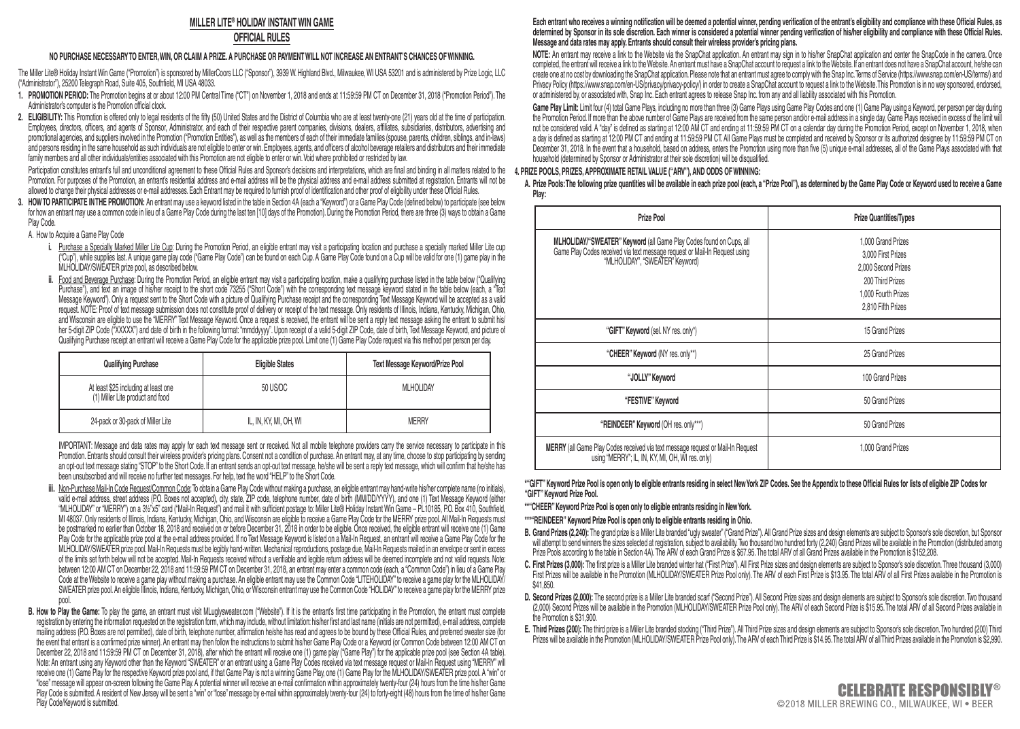## **MILLER LITE® HOLIDAY INSTANT WIN GAME**

## **OFFICIAL RULES**

### **NO PURCHASE NECESSARY TO ENTER, WIN, OR CLAIM A PRIZE. A PURCHASE OR PAYMENT WILL NOT INCREASE AN ENTRANT'S CHANCES OF WINNING.**

The Miller Lite® Holiday Instant Win Game ("Promotion") is sponsored by MillerCoors LLC ("Sponsor"), 3939 W. Highland Blvd., Milwaukee, WLUSA 53201 and is administered by Prize Logic, LLC ("Administrator"), 25200 Telegraph Road, Suite 405, Southfield, MI USA 48033.

- **1. PROMOTION PERIOD:** The Promotion begins at or about 12:00 PM Central Time ("CT") on November 1, 2018 and ends at 11:59:59 PM CT on December 31, 2018 ("Promotion Period"). The Administrator's computer is the Promotion official clock.
- **2. ELIGIBILITY:** This Promotion is offered only to legal residents of the fifty (50) United States and the District of Columbia who are at least twenty-one (21) years old at the time of participation. Employees, directors, officers, and agents of Sponsor, Administrator, and each of their respective parent companies, divisions, dealers, affiliates, subsidiaries, distributors, advertising and promotional agencies, and suppliers involved in the Promotion ("Promotion Entities"), as well as the members of each of their immediate families (spouse, parents, children, siblings, and in-laws) and persons residing in the same household as such individuals are not eligible to enter or win. Employees, agents, and officers of alcohol beverage retailers and distributors and their immediate family members and all other individuals/entities associated with this Promotion are not eligible to enter or win. Void where prohibited or restricted by law.

Participation constituties entrant's tull and unconditional agreement to these Uthical Hules and Sponsor's decisions and interpretations, which are final and binding in all matters related to the 4. PRIZE POOLS, PRIZES, AP Promotion. For purposes of the Promotion, an entrant's residential address and e-mail address will be the physical address and e-mail address submitted at registration. Entrants will not be allowed to change their physical addresses or e-mail addresses. Each Entrant may be required to furnish proof of identification and other proof of eligibility under these Official Rules.

**3. HOW TO PARTICIPATE IN THE PROMOTION:** An entrant may use a keyword listed in the table in Section 4A (each a "Keyword") or a Game Play Code (defined below) to participate (see below for how an entrant may use a common code in lieu of a Game Play Code during the last ten [10] days of the Promotion). During the Promotion Period, there are three (3) ways to obtain a Game Play Code.

A. How to Acquire a Game Play Code

- i. Purchase a Specially Marked Miller Lite Cup: During the Promotion Period, an eligible entrant may visit a participating location and purchase a specially marked Miller Lite cup ("Cup"), while supplies last. A unique game play code ("Game Play Code") can be found on each Cup. A Game Play Code found on a Cup will be valid for one (1) game play in the MLHOLIDAY/SWEATER prize pool, as described below.
- Food and Beverage Purchase: During the Promotion Period, an eligible entrant may visit a participating location, make a qualifying purchase listed in the table below ("Qualifying Purchase"), and text an image of his/her receipt to the short code 73255 ("Short Code") with the corresponding text message keyword stated in the table below (each, a "Text Message Keyword"). Only a request sent to the Short Code with a picture of Qualifying Purchase receipt and the corresponding Text Message Keyword will be accepted as a valid request. NOTE: Proof of text message submission does not constitute proof of delivery or receipt of the text message. Only residents of Illinois, Indiana, Kentucky, Michigan, Ohio, and Wisconsin are eligible to use the "MERRY" Text Message Keyword. Once a request is received, the entrant will be sent a reply text message asking the entrant to submit his/ her 5-digit ZIP Code ("XXXXX") and date of birth in the following format: "mmddyyyy". Upon receipt of a valid 5-digit ZIP Code, date of birth, Text Message Keyword, and picture of Qualifying Purchase receipt an entrant will receive a Game Play Code for the applicable prize pool. Limit one (1) Game Play Code request via this method per person per day.

| Qualifying Purchase                                                      | <b>Eligible States</b> | Text Message Keyword/Prize Pool |
|--------------------------------------------------------------------------|------------------------|---------------------------------|
| At least \$25 including at least one<br>(1) Miller Lite product and food | 50 US/DC               | MI HOLIDAY                      |
| 24-pack or 30-pack of Miller Lite                                        | IL. IN. KY. MI. OH. WI | <b>MFRRY</b>                    |

 IMPORTANT: Message and data rates may apply for each text message sent or received. Not all mobile telephone providers carry the service necessary to participate in this Promotion. Entrants should consult their wireless provider's pricing plans. Consent not a condition of purchase. An entrant may, at any time, choose to stop participating by sending an opt-out text message stating "STOP" to the Short Code. If an entrant sends an opt-out text message, he/she will be sent a reply text message, which will confirm that he/she has been unsubscribed and will receive no further text messages. For help, text the word "HELP" to the Short Code.

- **iii.** Non-Purchase Mail-In Code Request/Common Code: To obtain a Game Play Code without making a purchase, an eligible entrant may hand-write his/her complete name (no initials), valid e-mail address, street address (P.O. Boxes not accepted), city, state, ZIP code, telephone number, date of birth (MM/DD/YYYY), and one (1) Text Message Keyword (either "MLHOLIDAY" or "MERRY") on a 3½"x5" card ("Mail-In Request") and mail it with sufficient postage to: Miller Lite® Holiday Instant Win Game – PL10185, P.O. Box 410, Southfield, MI 48037. Only residents of Illinois, Indiana, Kentucky, Michigan, Ohio, and Wisconsin are eligible to receive a Game Play Code for the MERRY prize pool. All Mail-In Requests must be postmarked no earlier than October 18, 2018 and received on or before December 31, 2018 in order to be eligible. Once received, the eligible entrant will receive one (1) Game Play Code for the applicable prize pool at the e-mail address provided. If no Text Message Keyword is listed on a Mail-In Request, an entrant will receive a Game Play Code for the MLHOLIDAY/SWEATER prize pool. Mail-In Requests must be legibly hand-written. Mechanical reproductions, postage due, Mail-In Requests mailed in an envelope or sent in excess of the limits set forth below will not be accepted. Mail-In Requests received without a verifiable and legible return address will be deemed incomplete and not valid requests. Note: between 12:00 AM CT on December 22, 2018 and 11:59:59 PM CT on December 31, 2018, an entrant may enter a common code (each, a "Common Code") in lieu of a Game Play Code at the Website to receive a game play without making a purchase. An eligible entrant may use the Common Code "LITEHOLIDAY" to receive a game play for the MLHOLIDAY/ SWEATER prize pool. An eligible Illinois, Indiana, Kentucky, Michigan, Ohio, or Wisconsin entrant may use the Common Code "HOLIDAY" to receive a game play for the MERRY prize pool.
- **B. How to Play the Game:** To play the game, an entrant must visit MLuglysweater.com ("Website"). If it is the entrant's first time participating in the Promotion, the entrant must complete registration by entering the information requested on the registration form, which may include, without limitation: his/her first and last name (initials are not permitted), e-mail address, complete mailing address (P.O. Boxes are not permitted), date of birth, telephone number, affirmation he/she has read and agrees to be bound by these Official Rules, and preferred sweater size (for the event that entrant is a confirmed prize winner). An entrant may then follow the instructions to submit his/her Game Play Code or a Keyword (or Common Code between 12:00 AM CT on December 22, 2018 and 11:59:59 PM CT on December 31, 2018), after which the entrant will receive one (1) game play ("Game Play") for the applicable prize pool (see Section 4A table). Note: An entrant using any Keyword other than the Keyword "SWEATER" or an entrant using a Game Play Codes received via text message request or Mail-In Request using "MERRY" will receive one (1) Game Play for the respective Keyword prize pool and, if that Game Play is not a winning Game Play, one (1) Game Play for the MLHOLIDAY/SWEATER prize pool. A "win" or "lose" message will appear on-screen following the Game Play. A potential winner will receive an e-mail confirmation within approximately twenty-four (24) hours from the time his/her Game Play Code is submitted. A resident of New Jersey will be sent a "win" or "lose" message by e-mail within approximately twenty-four (24) to forty-eight (48) hours from the time of his/her Game Play Code/Keyword is submitted.

### Each entrant who receives a winning notification will be deemed a potential winner, pending verification of the entrant's eligibility and compliance with these Official Rules, as determined by Sponsor in its sole discretion. Each winner is considered a potential winner pending verification of his/her eligibility and compliance with these Official Rules. **Message and data rates may apply. Entrants should consult their wireless provider's pricing plans.**

 **NOTE:** An entrant may receive a link to the Website via the SnapChat application. An entrant may sign in to his/her SnapChat application and center the SnapCode in the camera. Once completed, the entrant will receive a link to the Website. An entrant must have a SnapChat account to request a link to the Website. If an entrant does not have a SnapChat account, he/she can create one at no cost by downloading the SnapChat application. Please note that an entrant must agree to comply with the Snap Inc. Terms of Service (https://www.snap.com/en-US/terms/) and Privacy Policy (https://www.snap.com/en-US/privacy/privacy-policy/) in order to create a SnapChat account to request a link to the Website. This Promotion is in no way sponsored, endorsed, or administered by, or associated with, Snap Inc. Each entrant agrees to release Snap Inc. from any and all liability associated with this Promotion.

 **Game Play Limit:** Limit four (4) total Game Plays, including no more than three (3) Game Plays using Game Play Codes and one (1) Game Play using a Keyword, per person per day during the Promotion Period. If more than the above number of Game Plays are received from the same person and/or e-mail address in a single day, Game Plays received in excess of the limit will not be considered valid. A "day" is defined as starting at 12:00 AM CT and ending at 11:59:59 PM CT on a calendar day during the Promotion Period, except on November 1, 2018, when a day is defined as starting at 12:00 PM CT and ending at 11:59:59 PM CT. All Game Plays must be completed and received by Sponsor or its authorized designee by 11:59:59 PM CT on December 31, 2018. In the event that a household, based on address, enters the Promotion using more than five (5) unique e-mail addresses, all of the Game Plays associated with that household (determined by Sponsor or Administrator at their sole discretion) will be disqualified.

A. Prize Pools: The following prize quantities will be available in each prize pool (each, a "Prize Pool"), as determined by the Game Play Code or Keyword used to receive a Game **Play:**

| Prize Pool                                                                                                                                                                           | <b>Prize Quantities/Types</b>                                                                                                    |
|--------------------------------------------------------------------------------------------------------------------------------------------------------------------------------------|----------------------------------------------------------------------------------------------------------------------------------|
| MLHOLIDAY/"SWEATER" Keyword (all Game Play Codes found on Cups, all<br>Game Play Codes received via text message request or Mail-In Request using<br>"MLHOLIDAY", "SWEATER" Keyword) | 1.000 Grand Prizes<br>3.000 First Prizes<br>2.000 Second Prizes<br>200 Third Prizes<br>1.000 Fourth Prizes<br>2.810 Fifth Prizes |
| "GIFT" Keyword (sel. NY res. only")                                                                                                                                                  | 15 Grand Prizes                                                                                                                  |
| "CHEER" Keyword (NY res. only**)                                                                                                                                                     | 25 Grand Prizes                                                                                                                  |
| "JOLLY" Keyword                                                                                                                                                                      | 100 Grand Prizes                                                                                                                 |
| "FESTIVE" Keyword                                                                                                                                                                    | 50 Grand Prizes                                                                                                                  |
| "REINDEER" Keyword (OH res. only***)                                                                                                                                                 | 50 Grand Prizes                                                                                                                  |
| MERRY (all Game Play Codes received via text message request or Mail-In Request<br>using "MERRY"; IL, IN, KY, MI, OH, WI res. only)                                                  | 1.000 Grand Prizes                                                                                                               |

\*"GIFT" Keyword Prize Pool is open only to eligible entrants residing in select New York ZIP Codes. See the Appendix to these Official Rules for lists of eligible ZIP Codes for **"GIFT" Keyword Prize Pool.**

 **\*\*"CHEER"Keyword Prize Pool is open only to eligible entrants residing in NewYork.**

- **\*\*\*"REINDEER"Keyword Prize Pool is open only to eligible entrants residing in Ohio.**
- B. Grand Prizes (2,240): The grand prize is a Miller Lite branded "ugly sweater" ("Grand Prize"). All Grand Prize sizes and design elements are subject to Sponsor's sole discretion, but Sponsor will attempt to send winners the sizes selected at registration, subject to availability. Two thousand two hundred forty (2,240) Grand Prizes will be available in the Promotion (distributed among Prize Pools according to the table in Section 4A). The ARV of each Grand Prize is \$67.95. The total ARV of all Grand Prizes available in the Promotion is \$152,208.
- C. First Prizes (3,000): The first prize is a Miller Lite branded winter hat ("First Prize"). All First Prize sizes and design elements are subject to Sponsor's sole discretion. Three thousand (3,000): First Prize Prodicon \$41,850.
- D. Second Prizes (2,000): The second prize is a Miller Lite branded scarf ("Second Prize"). All Second Prize sizes and design elements are subject to Sponsor's sole discretion. Two thousand (2,000) Second Prizes will be available in the Promotion (MLHOLIDAY/SWEATER Prize Pool only). The ARV of each Second Prize is \$15.95. The total ARV of all Second Prizes available in the Promotion is \$31,900.
- **E. Third Prizes (200):** The third prize is a Miller Lite branded stocking ("Third Prize"). All Third Prize sizes and design elements are subject to Sponsor's sole discretion. Two hundred (200) Third Prizes will be available in the Promotion (MLHOLIDAY/SWEATER Prize Pool only). The ARV of each Third Prize is \$14.95. The total ARV of all Third Prizes available in the Promotion is \$2,990.